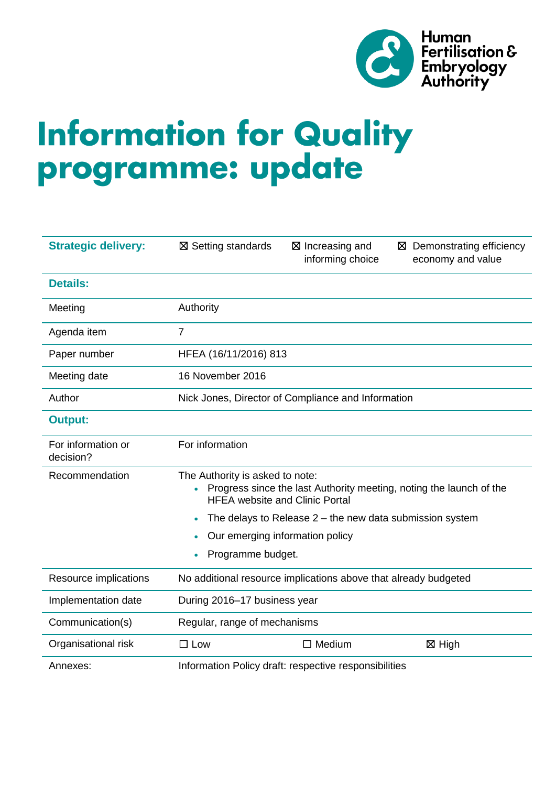

# **Information for Quality<br>programme: update**

| <b>Strategic delivery:</b>      | ⊠ Setting standards                                                                                                                             | ⊠ Increasing and<br>informing choice | Demonstrating efficiency<br>⊠<br>economy and value |  |
|---------------------------------|-------------------------------------------------------------------------------------------------------------------------------------------------|--------------------------------------|----------------------------------------------------|--|
| <b>Details:</b>                 |                                                                                                                                                 |                                      |                                                    |  |
| Meeting                         | Authority                                                                                                                                       |                                      |                                                    |  |
| Agenda item                     | $\overline{7}$                                                                                                                                  |                                      |                                                    |  |
| Paper number                    | HFEA (16/11/2016) 813                                                                                                                           |                                      |                                                    |  |
| Meeting date                    | 16 November 2016                                                                                                                                |                                      |                                                    |  |
| Author                          | Nick Jones, Director of Compliance and Information                                                                                              |                                      |                                                    |  |
| <b>Output:</b>                  |                                                                                                                                                 |                                      |                                                    |  |
| For information or<br>decision? | For information                                                                                                                                 |                                      |                                                    |  |
| Recommendation                  | The Authority is asked to note:<br>Progress since the last Authority meeting, noting the launch of the<br><b>HFEA website and Clinic Portal</b> |                                      |                                                    |  |
|                                 | The delays to Release $2$ – the new data submission system<br>$\bullet$                                                                         |                                      |                                                    |  |
|                                 | Our emerging information policy<br>$\bullet$                                                                                                    |                                      |                                                    |  |
|                                 | Programme budget.<br>$\bullet$                                                                                                                  |                                      |                                                    |  |
| Resource implications           | No additional resource implications above that already budgeted                                                                                 |                                      |                                                    |  |
| Implementation date             | During 2016-17 business year                                                                                                                    |                                      |                                                    |  |
| Communication(s)                | Regular, range of mechanisms                                                                                                                    |                                      |                                                    |  |
| Organisational risk             | $\Box$ Low                                                                                                                                      | $\Box$ Medium                        | <b>⊠ High</b>                                      |  |
| Annexes:                        | Information Policy draft: respective responsibilities                                                                                           |                                      |                                                    |  |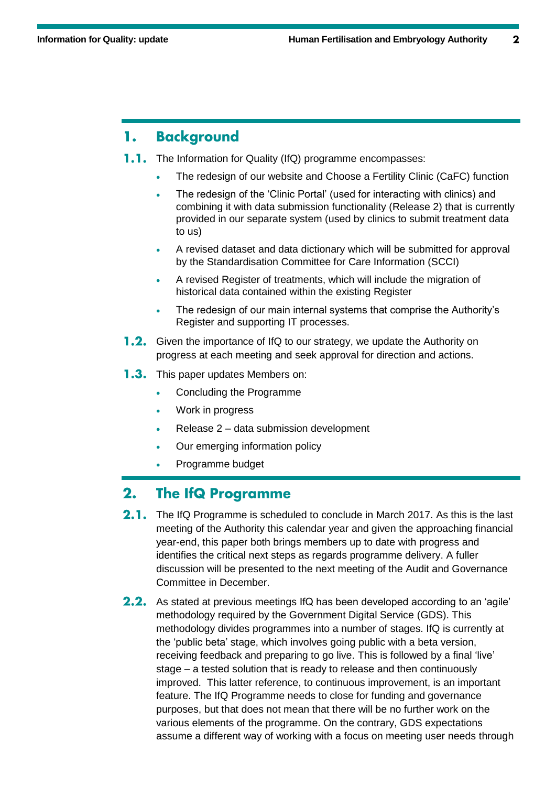# **Background** 1.

- **1.1.** The Information for Quality (IfQ) programme encompasses:
	- The redesign of our website and Choose a Fertility Clinic (CaFC) function
	- The redesign of the 'Clinic Portal' (used for interacting with clinics) and combining it with data submission functionality (Release 2) that is currently provided in our separate system (used by clinics to submit treatment data to us)
	- A revised dataset and data dictionary which will be submitted for approval by the Standardisation Committee for Care Information (SCCI)
	- A revised Register of treatments, which will include the migration of historical data contained within the existing Register
	- The redesign of our main internal systems that comprise the Authority's Register and supporting IT processes.
- **1.2.** Given the importance of IfQ to our strategy, we update the Authority on progress at each meeting and seek approval for direction and actions.
- **1.3.** This paper updates Members on:
	- Concluding the Programme
	- Work in progress
	- Release 2 data submission development
	- Our emerging information policy
	- Programme budget

### **The IfQ Programme**  $2.$

- $2.1.$ The IfQ Programme is scheduled to conclude in March 2017. As this is the last meeting of the Authority this calendar year and given the approaching financial year-end, this paper both brings members up to date with progress and identifies the critical next steps as regards programme delivery. A fuller discussion will be presented to the next meeting of the Audit and Governance Committee in December.
- **2.2.** As stated at previous meetings IfQ has been developed according to an 'agile' methodology required by the Government Digital Service (GDS). This methodology divides programmes into a number of stages. IfQ is currently at the 'public beta' stage, which involves going public with a beta version, receiving feedback and preparing to go live. This is followed by a final 'live' stage – a tested solution that is ready to release and then continuously improved. This latter reference, to continuous improvement, is an important feature. The IfQ Programme needs to close for funding and governance purposes, but that does not mean that there will be no further work on the various elements of the programme. On the contrary, GDS expectations assume a different way of working with a focus on meeting user needs through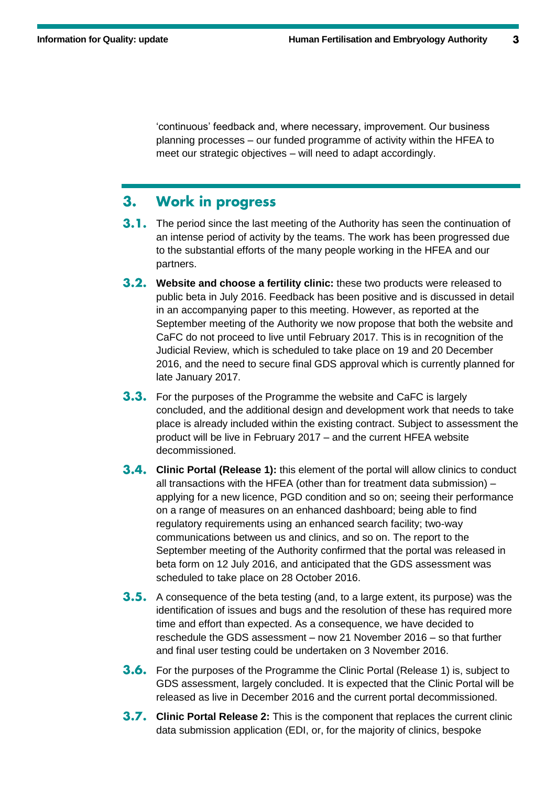'continuous' feedback and, where necessary, improvement. Our business planning processes – our funded programme of activity within the HFEA to meet our strategic objectives – will need to adapt accordingly.

## **Work in progress**  $3<sub>1</sub>$

- **3.1.** The period since the last meeting of the Authority has seen the continuation of an intense period of activity by the teams. The work has been progressed due to the substantial efforts of the many people working in the HFEA and our partners.
- **Website and choose a fertility clinic:** these two products were released to public beta in July 2016. Feedback has been positive and is discussed in detail in an accompanying paper to this meeting. However, as reported at the September meeting of the Authority we now propose that both the website and CaFC do not proceed to live until February 2017. This is in recognition of the Judicial Review, which is scheduled to take place on 19 and 20 December 2016, and the need to secure final GDS approval which is currently planned for late January 2017.
- **3.3.** For the purposes of the Programme the website and CaFC is largely concluded, and the additional design and development work that needs to take place is already included within the existing contract. Subject to assessment the product will be live in February 2017 – and the current HFEA website decommissioned.
- **3.4. Clinic Portal (Release 1):** this element of the portal will allow clinics to conduct all transactions with the HFEA (other than for treatment data submission) – applying for a new licence, PGD condition and so on; seeing their performance on a range of measures on an enhanced dashboard; being able to find regulatory requirements using an enhanced search facility; two-way communications between us and clinics, and so on. The report to the September meeting of the Authority confirmed that the portal was released in beta form on 12 July 2016, and anticipated that the GDS assessment was scheduled to take place on 28 October 2016.
- **3.5.** A consequence of the beta testing (and, to a large extent, its purpose) was the identification of issues and bugs and the resolution of these has required more time and effort than expected. As a consequence, we have decided to reschedule the GDS assessment – now 21 November 2016 – so that further and final user testing could be undertaken on 3 November 2016.
- **3.6.** For the purposes of the Programme the Clinic Portal (Release 1) is, subject to GDS assessment, largely concluded. It is expected that the Clinic Portal will be released as live in December 2016 and the current portal decommissioned.
- **3.7. Clinic Portal Release 2:** This is the component that replaces the current clinic data submission application (EDI, or, for the majority of clinics, bespoke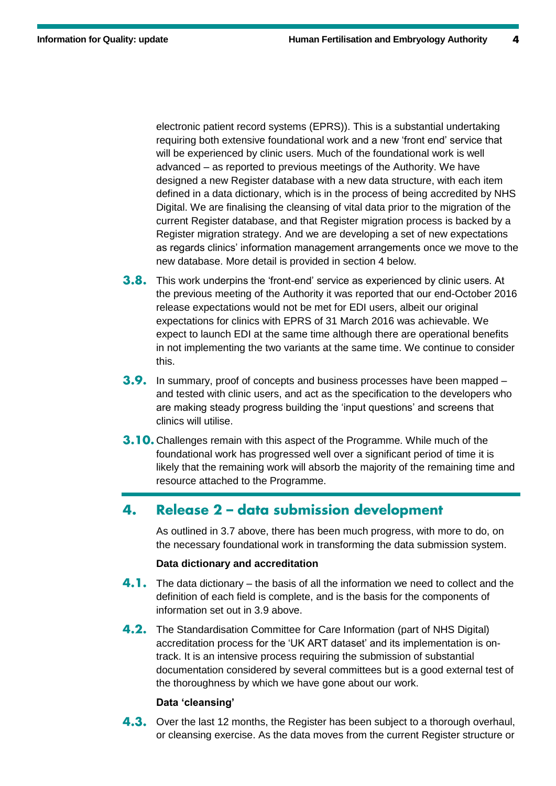electronic patient record systems (EPRS)). This is a substantial undertaking requiring both extensive foundational work and a new 'front end' service that will be experienced by clinic users. Much of the foundational work is well advanced – as reported to previous meetings of the Authority. We have designed a new Register database with a new data structure, with each item defined in a data dictionary, which is in the process of being accredited by NHS Digital. We are finalising the cleansing of vital data prior to the migration of the current Register database, and that Register migration process is backed by a Register migration strategy. And we are developing a set of new expectations as regards clinics' information management arrangements once we move to the new database. More detail is provided in section 4 below.

- **3.8.** This work underpins the 'front-end' service as experienced by clinic users. At the previous meeting of the Authority it was reported that our end-October 2016 release expectations would not be met for EDI users, albeit our original expectations for clinics with EPRS of 31 March 2016 was achievable. We expect to launch EDI at the same time although there are operational benefits in not implementing the two variants at the same time. We continue to consider this.
- **3.9.** In summary, proof of concepts and business processes have been mapped and tested with clinic users, and act as the specification to the developers who are making steady progress building the 'input questions' and screens that clinics will utilise.
- **3.10.** Challenges remain with this aspect of the Programme. While much of the foundational work has progressed well over a significant period of time it is likely that the remaining work will absorb the majority of the remaining time and resource attached to the Programme.

### Release 2 - data submission development 4.

As outlined in 3.7 above, there has been much progress, with more to do, on the necessary foundational work in transforming the data submission system.

# **Data dictionary and accreditation**

- 4.1. The data dictionary the basis of all the information we need to collect and the definition of each field is complete, and is the basis for the components of information set out in 3.9 above.
- **4.2.** The Standardisation Committee for Care Information (part of NHS Digital) accreditation process for the 'UK ART dataset' and its implementation is ontrack. It is an intensive process requiring the submission of substantial documentation considered by several committees but is a good external test of the thoroughness by which we have gone about our work.

# **Data 'cleansing'**

**4.3.** Over the last 12 months, the Register has been subject to a thorough overhaul, or cleansing exercise. As the data moves from the current Register structure or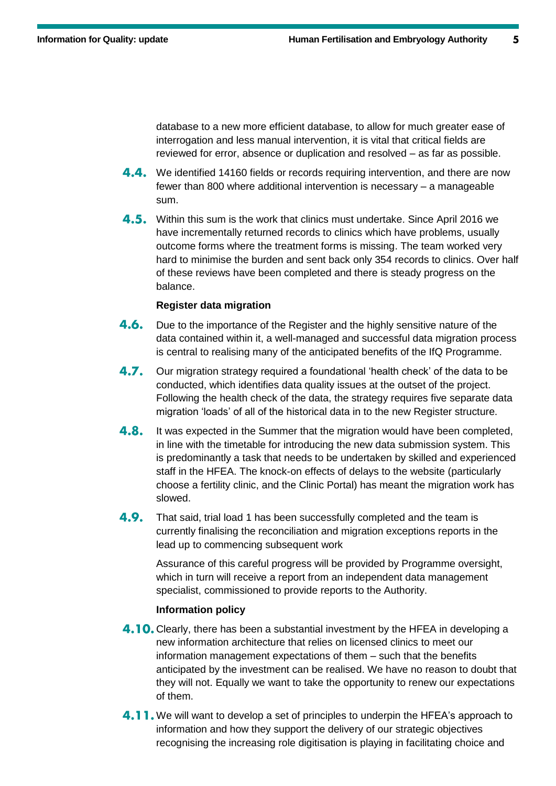database to a new more efficient database, to allow for much greater ease of interrogation and less manual intervention, it is vital that critical fields are reviewed for error, absence or duplication and resolved – as far as possible.

- **4.4.** We identified 14160 fields or records requiring intervention, and there are now fewer than 800 where additional intervention is necessary – a manageable sum.
- 4.5. Within this sum is the work that clinics must undertake. Since April 2016 we have incrementally returned records to clinics which have problems, usually outcome forms where the treatment forms is missing. The team worked very hard to minimise the burden and sent back only 354 records to clinics. Over half of these reviews have been completed and there is steady progress on the balance.

# **Register data migration**

- $4.6.$ Due to the importance of the Register and the highly sensitive nature of the data contained within it, a well-managed and successful data migration process is central to realising many of the anticipated benefits of the IfQ Programme.
- $4.7.$ Our migration strategy required a foundational 'health check' of the data to be conducted, which identifies data quality issues at the outset of the project. Following the health check of the data, the strategy requires five separate data migration 'loads' of all of the historical data in to the new Register structure.
- 4.8. It was expected in the Summer that the migration would have been completed, in line with the timetable for introducing the new data submission system. This is predominantly a task that needs to be undertaken by skilled and experienced staff in the HFEA. The knock-on effects of delays to the website (particularly choose a fertility clinic, and the Clinic Portal) has meant the migration work has slowed.
- 4.9. That said, trial load 1 has been successfully completed and the team is currently finalising the reconciliation and migration exceptions reports in the lead up to commencing subsequent work

Assurance of this careful progress will be provided by Programme oversight, which in turn will receive a report from an independent data management specialist, commissioned to provide reports to the Authority.

# **Information policy**

- 4.10. Clearly, there has been a substantial investment by the HFEA in developing a new information architecture that relies on licensed clinics to meet our information management expectations of them – such that the benefits anticipated by the investment can be realised. We have no reason to doubt that they will not. Equally we want to take the opportunity to renew our expectations of them.
- **4.11.** We will want to develop a set of principles to underpin the HFEA's approach to information and how they support the delivery of our strategic objectives recognising the increasing role digitisation is playing in facilitating choice and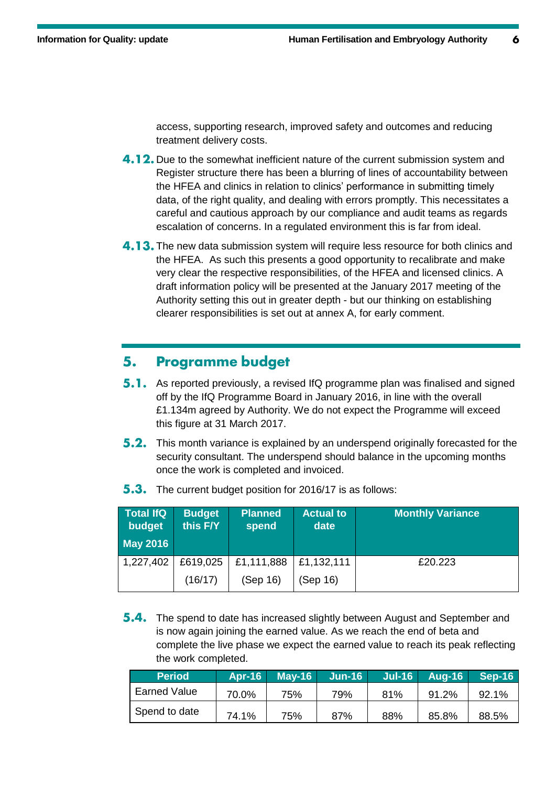access, supporting research, improved safety and outcomes and reducing treatment delivery costs.

- **4.12.** Due to the somewhat inefficient nature of the current submission system and Register structure there has been a blurring of lines of accountability between the HFEA and clinics in relation to clinics' performance in submitting timely data, of the right quality, and dealing with errors promptly. This necessitates a careful and cautious approach by our compliance and audit teams as regards escalation of concerns. In a regulated environment this is far from ideal.
- **4.13.** The new data submission system will require less resource for both clinics and the HFEA. As such this presents a good opportunity to recalibrate and make very clear the respective responsibilities, of the HFEA and licensed clinics. A draft information policy will be presented at the January 2017 meeting of the Authority setting this out in greater depth - but our thinking on establishing clearer responsibilities is set out at annex A, for early comment.

### **Programme budget** 5.

- **5.1.** As reported previously, a revised IfQ programme plan was finalised and signed off by the IfQ Programme Board in January 2016, in line with the overall £1.134m agreed by Authority. We do not expect the Programme will exceed this figure at 31 March 2017.
- **5.2.** This month variance is explained by an underspend originally forecasted for the security consultant. The underspend should balance in the upcoming months once the work is completed and invoiced.

| Total IfQ<br>budget | <b>Budget</b><br>this F/Y | <b>Planned</b><br>spend | <b>Actual to</b><br>date | <b>Monthly Variance</b> |
|---------------------|---------------------------|-------------------------|--------------------------|-------------------------|
| <b>May 2016</b>     |                           |                         |                          |                         |
| 1,227,402           | £619,025                  | £1,111,888              | £1,132,111               | £20,223                 |
|                     | (16/17)                   | (Sep 16)                | (Sep 16)                 |                         |

5.3. The current budget position for 2016/17 is as follows:

**5.4.** The spend to date has increased slightly between August and September and is now again joining the earned value. As we reach the end of beta and complete the live phase we expect the earned value to reach its peak reflecting the work completed.

| <b>Period</b> | <b>Apr-16</b> | <b>May-16</b> | $Jun-16$ | $Jul-16$ | <b>Aug-16</b> | Sep-16 |
|---------------|---------------|---------------|----------|----------|---------------|--------|
| Earned Value  | 70.0%         | 75%           | 79%      | 81%      | 91.2%         | 92.1%  |
| Spend to date | 74.1%         | 75%           | 87%      | 88%      | 85.8%         | 88.5%  |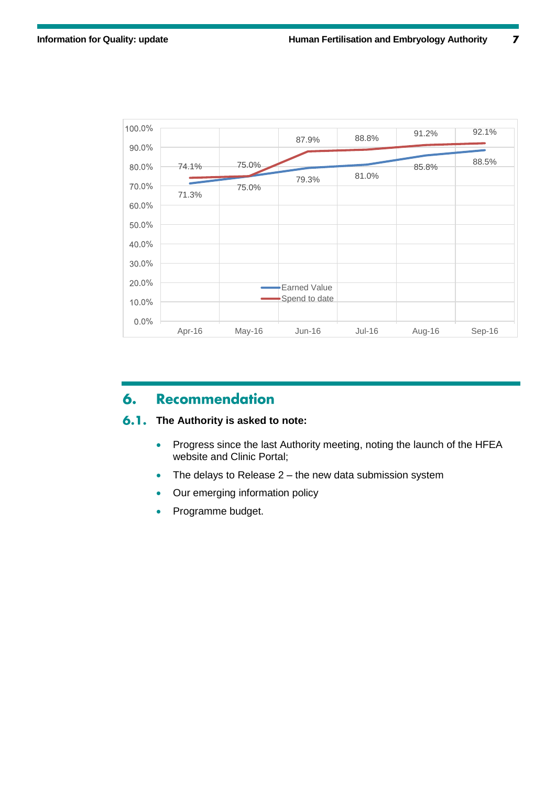

# **Recommendation** 6.

### $6.1.$ **The Authority is asked to note:**

- Progress since the last Authority meeting, noting the launch of the HFEA website and Clinic Portal;
- The delays to Release 2 the new data submission system
- Our emerging information policy
- Programme budget.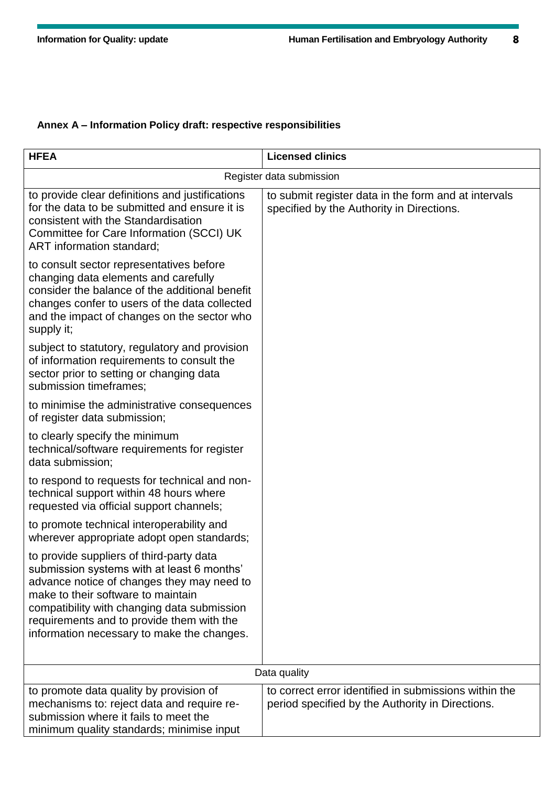# **Annex A – Information Policy draft: respective responsibilities**

| <b>HFEA</b>                                                                                                                                                                                                                                                                                                          | <b>Licensed clinics</b>                                                                                   |  |
|----------------------------------------------------------------------------------------------------------------------------------------------------------------------------------------------------------------------------------------------------------------------------------------------------------------------|-----------------------------------------------------------------------------------------------------------|--|
| Register data submission                                                                                                                                                                                                                                                                                             |                                                                                                           |  |
| to provide clear definitions and justifications<br>for the data to be submitted and ensure it is<br>consistent with the Standardisation<br>Committee for Care Information (SCCI) UK<br>ART information standard;                                                                                                     | to submit register data in the form and at intervals<br>specified by the Authority in Directions.         |  |
| to consult sector representatives before<br>changing data elements and carefully<br>consider the balance of the additional benefit<br>changes confer to users of the data collected<br>and the impact of changes on the sector who<br>supply it;                                                                     |                                                                                                           |  |
| subject to statutory, regulatory and provision<br>of information requirements to consult the<br>sector prior to setting or changing data<br>submission timeframes;                                                                                                                                                   |                                                                                                           |  |
| to minimise the administrative consequences<br>of register data submission;                                                                                                                                                                                                                                          |                                                                                                           |  |
| to clearly specify the minimum<br>technical/software requirements for register<br>data submission;                                                                                                                                                                                                                   |                                                                                                           |  |
| to respond to requests for technical and non-<br>technical support within 48 hours where<br>requested via official support channels;                                                                                                                                                                                 |                                                                                                           |  |
| to promote technical interoperability and<br>wherever appropriate adopt open standards;                                                                                                                                                                                                                              |                                                                                                           |  |
| to provide suppliers of third-party data<br>submission systems with at least 6 months'<br>advance notice of changes they may need to<br>make to their software to maintain<br>compatibility with changing data submission<br>requirements and to provide them with the<br>information necessary to make the changes. |                                                                                                           |  |
| Data quality                                                                                                                                                                                                                                                                                                         |                                                                                                           |  |
| to promote data quality by provision of<br>mechanisms to: reject data and require re-<br>submission where it fails to meet the<br>minimum quality standards; minimise input                                                                                                                                          | to correct error identified in submissions within the<br>period specified by the Authority in Directions. |  |